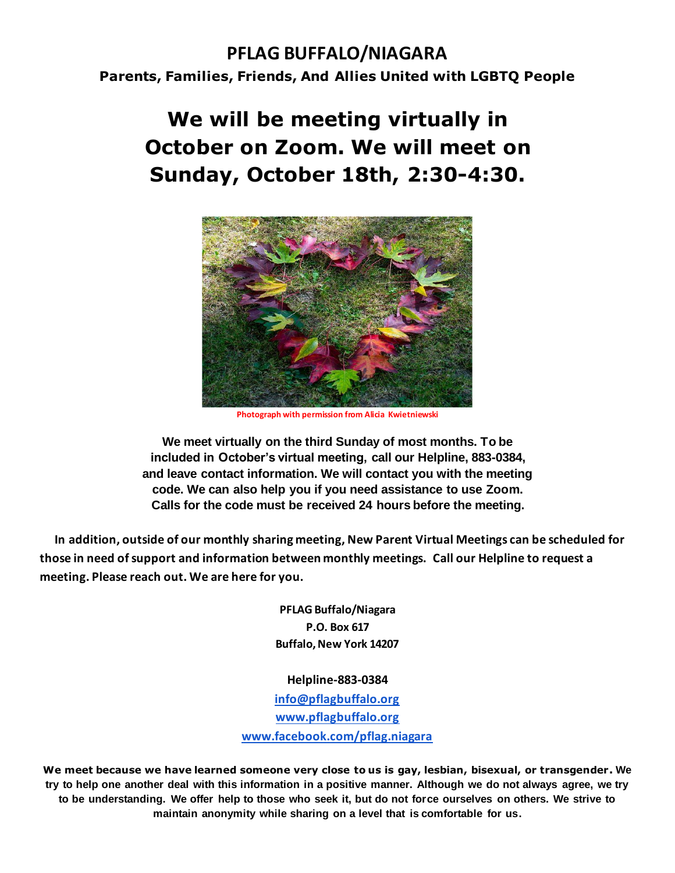### **PFLAG BUFFALO/NIAGARA Parents, Families, Friends, And Allies United with LGBTQ People**

# **We will be meeting virtually in October on Zoom. We will meet on Sunday, October 18th, 2:30-4:30.**



**Photograph with permission from Alicia Kwietniewski**

**We meet virtually on the third Sunday of most months. To be included in October's virtual meeting, call our Helpline, 883-0384, and leave contact information. We will contact you with the meeting code. We can also help you if you need assistance to use Zoom. Calls for the code must be received 24 hours before the meeting.**

 **In addition, outside of our monthly sharing meeting, New Parent Virtual Meetings can be scheduled for those in need of support and information between monthly meetings. Call our Helpline to request a meeting. Please reach out. We are here for you.**

> **PFLAG Buffalo/Niagara P.O. Box 617 Buffalo, New York 14207**

**Helpline-883-0384**

**[info@pflagbuffalo.org](mailto:info@pflagbuffalo.org) [www.pflagbuffalo.org](http://www.pflagbuffalo.org/) [www.facebook.com/pflag.niagara](http://www.facebook.com/pflag.niagara)**

**We meet because we have learned someone very close to us is gay, lesbian, bisexual, or transgender. We try to help one another deal with this information in a positive manner. Although we do not always agree, we try to be understanding. We offer help to those who seek it, but do not force ourselves on others. We strive to maintain anonymity while sharing on a level that is comfortable for us.**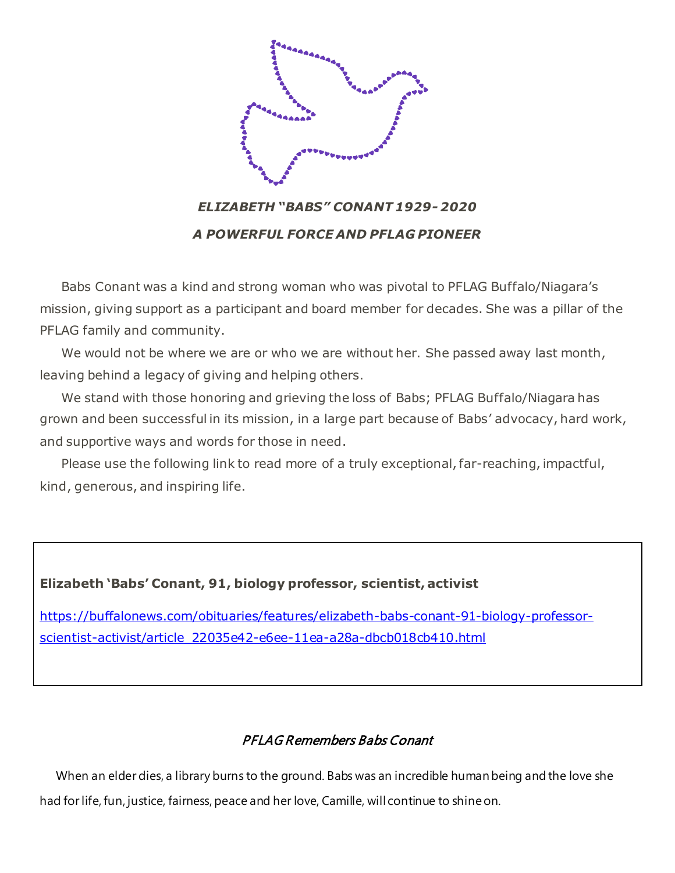

*ELIZABETH "BABS" CONANT 1929- 2020 A POWERFUL FORCE AND PFLAG PIONEER*

 Babs Conant was a kind and strong woman who was pivotal to PFLAG Buffalo/Niagara's mission, giving support as a participant and board member for decades. She was a pillar of the PFLAG family and community.

We would not be where we are or who we are without her. She passed away last month, leaving behind a legacy of giving and helping others.

 We stand with those honoring and grieving the loss of Babs; PFLAG Buffalo/Niagara has grown and been successful in its mission, in a large part because of Babs' advocacy, hard work, and supportive ways and words for those in need.

 Please use the following link to read more of a truly exceptional, far-reaching, impactful, kind, generous, and inspiring life.

#### **Elizabeth 'Babs' Conant, 91, biology professor, scientist, activist**

[https://buffalonews.com/obituaries/features/elizabeth-babs-conant-91-biology-professor](https://buffalonews.com/obituaries/features/elizabeth-babs-conant-91-biology-professor-scientist-activist/article_22035e42-e6ee-11ea-a28a-dbcb018cb410.html)[scientist-activist/article\\_22035e42-e6ee-11ea-a28a-dbcb018cb410.html](https://buffalonews.com/obituaries/features/elizabeth-babs-conant-91-biology-professor-scientist-activist/article_22035e42-e6ee-11ea-a28a-dbcb018cb410.html)

### PFLAG Remembers Babs Conant

 When an elder dies, a library burns to the ground. Babs was an incredible human being and the love she had for life, fun, justice, fairness, peace and her love, Camille, will continue to shine on.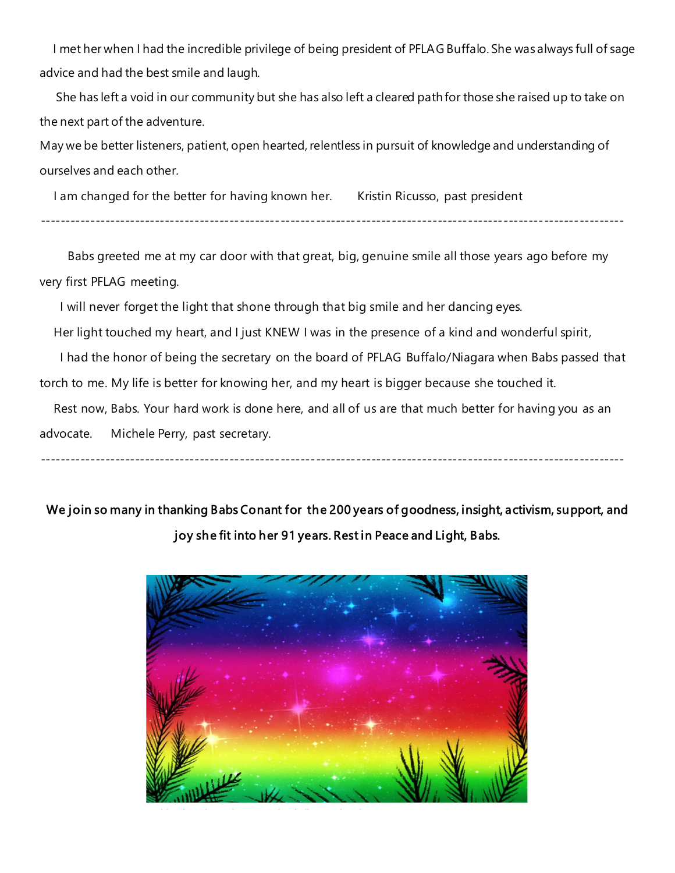I met her when I had the incredible privilege of being president of PFLAG Buffalo. She was always full of sage advice and had the best smile and laugh.

 She has left a void in our community but she has also left a cleared path for those she raised up to take on the next part of the adventure.

May we be better listeners, patient, open hearted, relentless in pursuit of knowledge and understanding of ourselves and each other.

I am changed for the better for having known her. Kristin Ricusso, past president

--------------------------------------------------------------------------------------------------------------------

 Babs greeted me at my car door with that great, big, genuine smile all those years ago before my very first PFLAG meeting.

I will never forget the light that shone through that big smile and her dancing eyes.

Her light touched my heart, and I just KNEW I was in the presence of a kind and wonderful spirit,

I had the honor of being the secretary on the board of PFLAG Buffalo/Niagara when Babs passed that

torch to me. My life is better for knowing her, and my heart is bigger because she touched it.

 Rest now, Babs. Your hard work is done here, and all of us are that much better for having you as an advocate. Michele Perry, past secretary.

We join so many in thanking Babs Conant for the 200 years of goodness, insight, activism, support, and joy she fit into her 91 years. Rest in Peace and Light, Babs.

--------------------------------------------------------------------------------------------------------------------

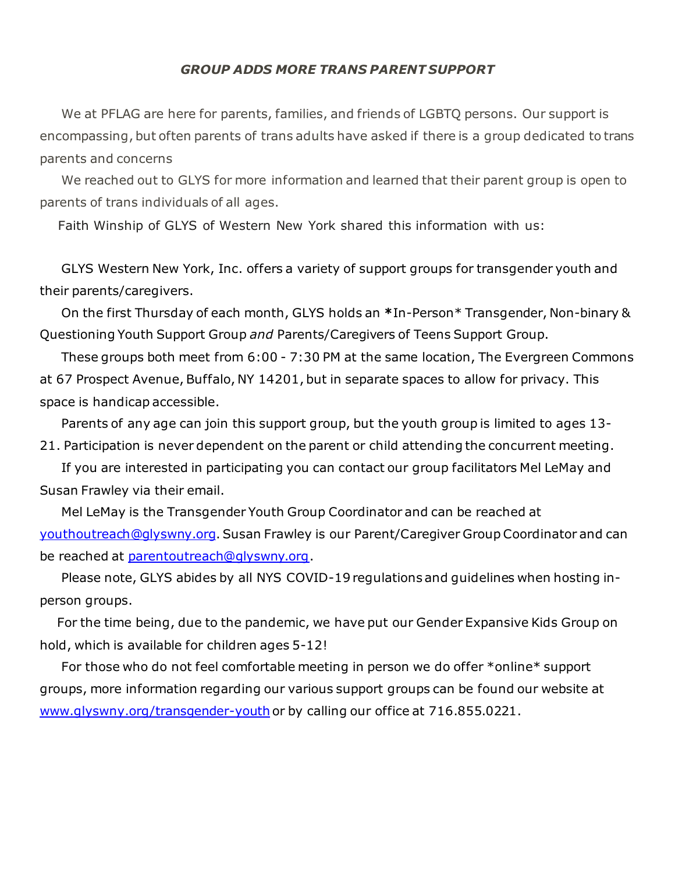#### *GROUP ADDS MORE TRANS PARENT SUPPORT*

 We at PFLAG are here for parents, families, and friends of LGBTQ persons. Our support is encompassing, but often parents of trans adults have asked if there is a group dedicated to trans parents and concerns

 We reached out to GLYS for more information and learned that their parent group is open to parents of trans individuals of all ages.

Faith Winship of GLYS of Western New York shared this information with us:

 GLYS Western New York, Inc. offers a variety of support groups for transgender youth and their parents/caregivers.

 On the first Thursday of each month, GLYS holds an **\***In-Person\* Transgender, Non-binary & Questioning Youth Support Group *and* Parents/Caregivers of Teens Support Group.

 These groups both meet from 6:00 - 7:30 PM at the same location, The Evergreen Commons at 67 Prospect Avenue, Buffalo, NY 14201, but in separate spaces to allow for privacy. This space is handicap accessible.

 Parents of any age can join this support group, but the youth group is limited to ages 13- 21. Participation is never dependent on the parent or child attending the concurrent meeting.

 If you are interested in participating you can contact our group facilitators Mel LeMay and Susan Frawley via their email.

 Mel LeMay is the Transgender Youth Group Coordinator and can be reached at [youthoutreach@glyswny.org](mailto:youthoutreach@glyswny.org).Susan Frawley is our Parent/Caregiver Group Coordinator and can be reached at [parentoutreach@glyswny.org](mailto:parentoutreach@glyswny.org).

 Please note, GLYS abides by all NYS COVID-19 regulations and guidelines when hosting inperson groups.

 For the time being, due to the pandemic, we have put our Gender Expansive Kids Group on hold, which is available for children ages 5-12!

 For those who do not feel comfortable meeting in person we do offer \*online\* support groups, more information regarding our various support groups can be found our website at [www.glyswny.org/transgender-youth](https://eur06.safelinks.protection.outlook.com/?url=http%3A%2F%2Fwww.glyswny.org%2Ftransgender-youth&data=02%7C01%7C%7Cb729f537c60946913a2208d85f1fff33%7C84df9e7fe9f640afb435aaaaaaaaaaaa%7C1%7C0%7C637363938308337866&sdata=T8EVyr4YQkDsfw80wN7WJP5ODclgtujiuAmRq0Nf5FQ%3D&reserved=0) or by calling our office at 716.855.0221.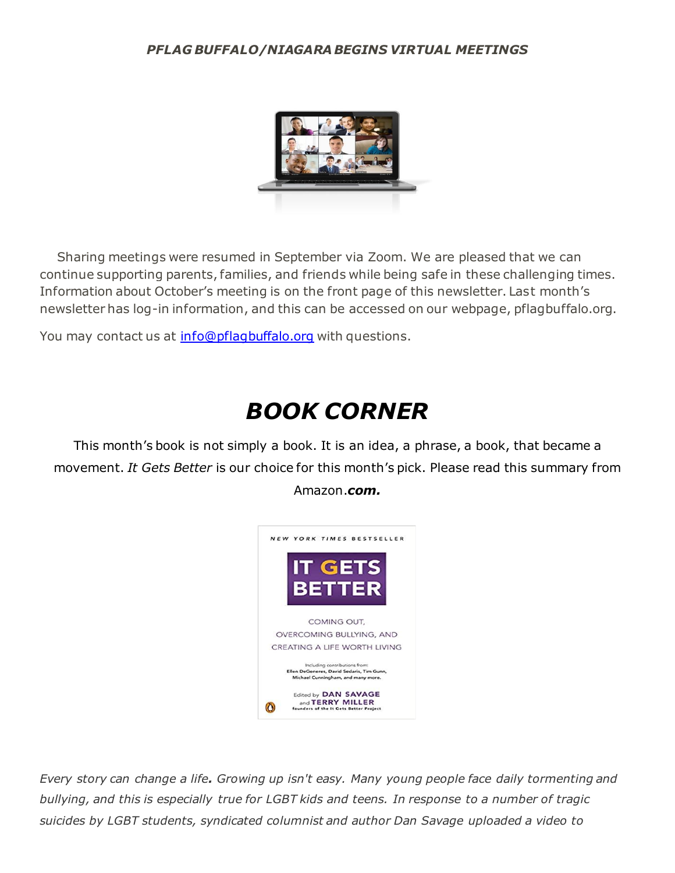#### *PFLAG BUFFALO/NIAGARA BEGINS VIRTUAL MEETINGS*



 Sharing meetings were resumed in September via Zoom. We are pleased that we can continue supporting parents, families, and friends while being safe in these challenging times. Information about October's meeting is on the front page of this newsletter. Last month's newsletter has log-in information, and this can be accessed on our webpage, pflagbuffalo.org.

You may contact us at [info@pflagbuffalo.org](mailto:info@pflagbuffalo.org) with questions.

# *BOOK CORNER*

This month's book is not simply a book. It is an idea, a phrase, a book, that became a movement. *It Gets Better* is our choice for this month's pick. Please read this summary from Amazon.*com.*



*Every story can change a life. Growing up isn't easy. Many young people face daily tormenting and bullying, and this is especially true for LGBT kids and teens. In response to a number of tragic suicides by LGBT students, syndicated columnist and author Dan Savage uploaded a video to*